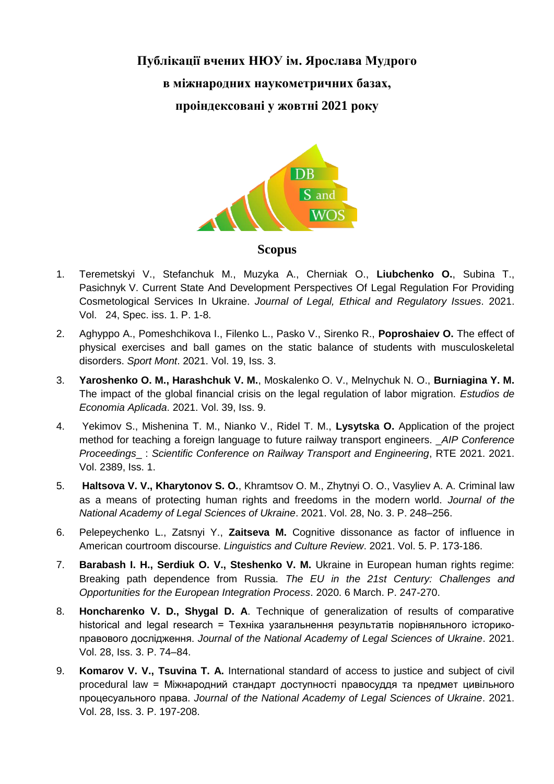# **Публікації вчених НЮУ ім. Ярослава Мудрого в міжнародних наукометричних базах, проіндексовані у жовтні 2021 року**



- **Scopus**
- 1. Teremetskyi V., Stefanchuk M., Muzyka A., Cherniak O., **Liubchenko O.**, Subina T., Pasichnyk V. Current State And Development Perspectives Of Legal Regulation For Providing Cosmetological Services In Ukraine. *Journal of Legal, Ethical and Regulatory Issues*. 2021. Vol. 24, Spec. iss. 1. P. 1-8.
- 2. Aghyppo A., Pomeshchikova I., Filenko L., Pasko V., Sirenko R., **Poproshaiev O.** The effect of physical exercises and ball games on the static balance of students with musculoskeletal disorders. *Sport Mont*. 2021. Vol. 19, Iss. 3.
- 3. **Yaroshenko O. M., Harashchuk V. M.**, Moskalenko O. V., Melnychuk N. O., **Burniagina Y. M.** The impact of the global financial crisis on the legal regulation of labor migration. *Estudios de Economia Aplicada*. 2021. Vol. 39, Iss. 9.
- 4. Yekimov S., Mishenina T. M., Nianko V., Ridel T. M., **Lysytska O.** Application of the project method for teaching a foreign language to future railway transport engineers. \_*AIP Conference Proceedings*\_ : *Scientific Conference on Railway Transport and Engineering*, RTE 2021. 2021. Vol. 2389, Iss. 1.
- 5. **Haltsova V. V., Kharytonov S. O.**, Khramtsov O. M., Zhytnyi O. O., Vasyliev A. A. Criminal law as a means of protecting human rights and freedoms in the modern world. *Journal of the National Academy of Legal Sciences of Ukraine*. 2021. Vol. 28, No. 3. P. 248–256.
- 6. Pelepeychenko L., Zatsnyi Y., **Zaitseva M.** Cognitive dissonance as factor of influence in American courtroom discourse. *Linguistics and Culture Review*. 2021. Vol. 5. P. 173-186.
- 7. **Barabash I. H., Serdiuk O. V., Steshenko V. M.** Ukraine in European human rights regime: Breaking path dependence from Russia. *The EU in the 21st Century: Challenges and Opportunities for the European Integration Process*. 2020. 6 March. P. 247-270.
- 8. **Honcharenko V. D., Shygal D. A**. Technique of generalization of results of comparative historical and legal research = Техніка узагальнення результатів порівняльного історикоправового дослідження. *Journal of the National Academy of Legal Sciences of Ukraine*. 2021. Vol. 28, Iss. 3. P. 74–84.
- 9. **Komarov V. V., Tsuvina T. A.** International standard of access to justice and subject of civil procedural law = Міжнародний стандарт доступності правосуддя та предмет цивільного процесуального права. *Journal of the National Academy of Legal Sciences of Ukraine*. 2021. Vol. 28, Iss. 3. P. 197-208.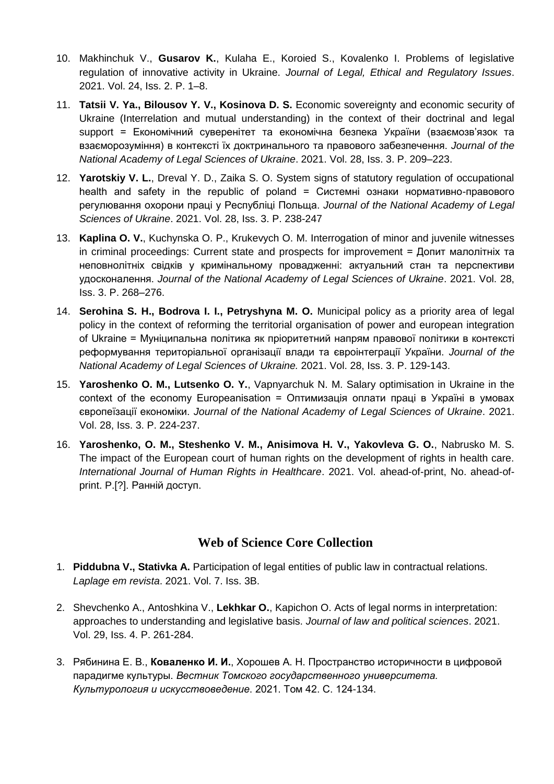- 10. Makhinchuk V., **Gusarov K.**, Kulaha E., Koroied S., Kovalenko I. Problems of legislative regulation of innovative activity in Ukraine. *Journal of Legal, Ethical and Regulatory Issues*. 2021. Vol. 24, Iss. 2. P. 1–8.
- 11. **Tatsii V. Ya., Bilousov Y. V., Kosinova D. S.** Economic sovereignty and economic security of Ukraine (Interrelation and mutual understanding) in the context of their doctrinal and legal support = Економічний суверенітет та економічна безпека України (взаємозв'язок та взаєморозуміння) в контексті їх доктринального та правового забезпечення. *Journal of the National Academy of Legal Sciences of Ukraine*. 2021. Vol. 28, Iss. 3. P. 209–223.
- 12. **Yarotskiy V. L.**, Dreval Y. D., Zaika S. O. System signs of statutory regulation of occupational health and safety in the republic of poland = Системні ознаки нормативно-правового регулювання охорони праці у Республіці Польща. *Journal of the National Academy of Legal Sciences of Ukraine*. 2021. Vol. 28, Iss. 3. P. 238-247
- 13. **Kaplina O. V.**, Kuchynska O. P., Krukevych O. M. Interrogation of minor and juvenile witnesses in criminal proceedings: Current state and prospects for improvement = Допит малолітніх та неповнолітніх свідків у кримінальному провадженні: актуальний стан та перспективи удосконалення. *Journal of the National Academy of Legal Sciences of Ukraine*. 2021. Vol. 28, Iss. 3. P. 268–276.
- 14. **Serohina S. H., Bodrova I. I., Petryshyna M. O.** Municipal policy as a priority area of legal policy in the context of reforming the territorial organisation of power and european integration of Ukraine = Муніципальна політика як пріоритетний напрям правової політики в контексті реформування територіальної організації влади та євроінтеграції України. *Journal of the National Academy of Legal Sciences of Ukraine.* 2021. Vol. 28, Iss. 3. P. 129-143.
- 15. **Yaroshenko O. M., Lutsenko O. Y.**, Vapnyarchuk N. M. Salary optimisation in Ukraine in the context of the economy Europeanisation = Оптимизація оплати праці в Україні в умовах європеїзації економіки. *Journal of the National Academy of Legal Sciences of Ukraine*. 2021. Vol. 28, Iss. 3. P. 224-237.
- 16. **Yaroshenko, O. M., Steshenko V. M., Anisimova H. V., Yakovleva G. O.**, Nabrusko M. S. The impact of the European court of human rights on the development of rights in health care. *International Journal of Human Rights in Healthcare*. 2021. Vol. ahead-of-print, No. ahead-ofprint. P.[?]. Ранній доступ.

# **Web of Science Core Collection**

- 1. **Piddubna V., Stativka A.** Participation of legal entities of public law in contractual relations. *Laplage em revista*. 2021. Vol. 7. Iss. 3B.
- 2. Shevchenko A., Antoshkina V., **Lekhkar O.**, Kapichon O. Acts of legal norms in interpretation: approaches to understanding and legislative basis. *Journal of law and political sciences*. 2021. Vol. 29, Iss. 4. P. 261-284.
- 3. Рябинина Е. В., **Коваленко И. И.**, Хорошев А. Н. Пространство историчности в цифровой парадигме культуры. *Вестник Томского государственного университета. Культурология и искусствоведение*. 2021. Том 42. С. 124-134.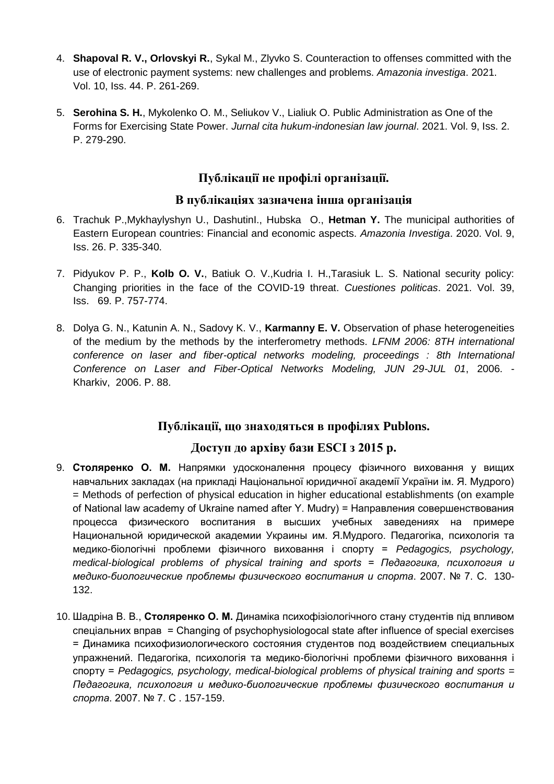- 4. **Shapoval R. V., Orlovskyi R.**, Sykal M., Zlyvko S. Counteraction to offenses committed with the use of electronic payment systems: new challenges and problems. *Amazonia investiga*. 2021. Vol. 10, Iss. 44. P. 261-269.
- 5. **Serohina S. H.**, Mykolenko O. M., Seliukov V., Lialiuk O. Public Administration as One of the Forms for Exercising State Power. *Jurnal cita hukum-indonesian law journal*. 2021. Vol. 9, Iss. 2. P. 279-290.

## **Публікації не профілі організації.**

#### **В публікаціях зазначена інша організація**

- 6. Trachuk P.,Mykhaylyshyn U., DashutinI., Hubska O., **Hetman Y.** The municipal authorities of Eastern European countries: Financial and economic aspects. *Amazonia Investiga*. 2020. Vol. 9, Iss. 26. P. 335-340.
- 7. Pidyukov P. P., **Kolb O. V.**, Batiuk O. V.,Kudria I. H.,Tarasiuk L. S. National security policy: Changing priorities in the face of the COVID-19 threat. *Cuestiones politicas*. 2021. Vol. 39, Iss. 69. P. 757-774.
- 8. Dolya G. N., Katunin A. N., Sadovy K. V., **Karmanny E. V.** Observation of phase heterogeneities of the medium by the methods by the interferometry methods. *LFNM 2006: 8TH international conference on laser and fiber-optical networks modeling, proceedings : 8th International Conference on Laser and Fiber-Optical Networks Modeling, JUN 29-JUL 01*, 2006. - Kharkiv, 2006. P. 88.

## **Публікації, що знаходяться в профілях Publons.**

#### **Доступ до архіву бази ESСI з 2015 р.**

- 9. **Столяренко О. М.** Напрямки удосконалення процесу фізичного виховання у вищих навчальних закладах (на прикладі Національної юридичної академії України ім. Я. Мудрого) = Methods of perfection of physical education in higher educational establishments (on example of National law academy of Ukraine named after Y. Mudry) = Направления совершенствования процесса физического воспитания в высших учебных заведениях на примере Национальной юридической академии Украины им. Я.Мудрого. Педагогіка, психологія та медико-біологічні проблеми фізичного виховання і спорту = *Pedagogics, psychology, medical-biological problems of physical training and sports = Педагогика, психология и медико-биологические проблемы физического воспитания и спорта*. 2007. № 7. C. 130- 132.
- 10. Шадріна В. В., **Столяренко О. М.** Динаміка психофізіологічного стану студентів під впливом спеціальних вправ = Changing of psychophysiologocal state after influence of special exercises = Динамика психофизиологического состояния студентов под воздействием специальных упражнений. Педагогіка, психологія та медико-біологічні проблеми фізичного виховання і спорту = *Pedagogics, psychology, medical-biological problems of physical training and sports = Педагогика, психология и медико-биологические проблемы физического воспитания и спорта*. 2007. № 7. С . 157-159.